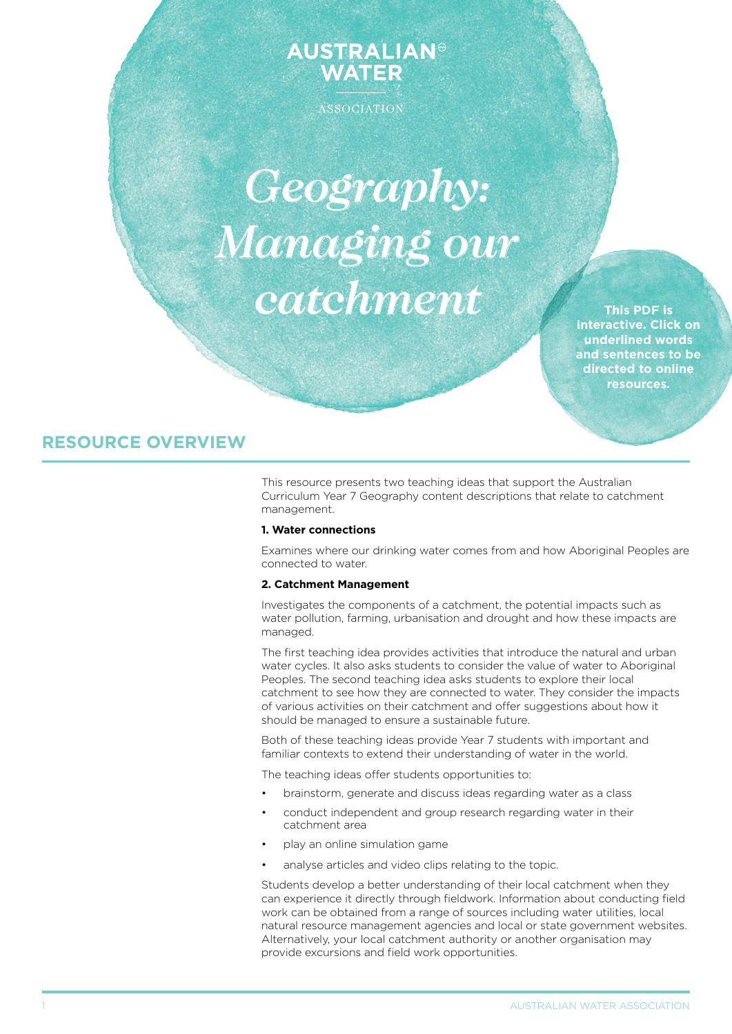## **AUSTRALIAN<sup>®</sup> WATER**

ASSOCIATION

# *Geography: Managing our catchment*

**This PDF is interactive. Click on underlined words and sentences to be directed to online resources.**

## **RESOURCE OVERVIEW**

This resource presents two teaching ideas that support the Australian Curriculum Year 7 Geography content descriptions that relate to catchment management.

## **1. Water connections**

Examines where our drinking water comes from and how Aboriginal Peoples are connected to water.

## **2. Catchment Management**

Investigates the components of a catchment, the potential impacts such as water pollution, farming, urbanisation and drought and how these impacts are managed.

The first teaching idea provides activities that introduce the natural and urban water cycles. It also asks students to consider the value of water to Aboriginal Peoples. The second teaching idea asks students to explore their local catchment to see how they are connected to water. They consider the impacts of various activities on their catchment and offer suggestions about how it should be managed to ensure a sustainable future.

Both of these teaching ideas provide Year 7 students with important and familiar contexts to extend their understanding of water in the world.

The teaching ideas offer students opportunities to:

- brainstorm, generate and discuss ideas regarding water as a class
- conduct independent and group research regarding water in their catchment area
- play an online simulation game
- analyse articles and video clips relating to the topic.

Students develop a better understanding of their local catchment when they can experience it directly through fieldwork. Information about conducting field work can be obtained from a range of sources including water utilities, local natural resource management agencies and local or state government websites. Alternatively, your local catchment authority or another organisation may provide excursions and field work opportunities.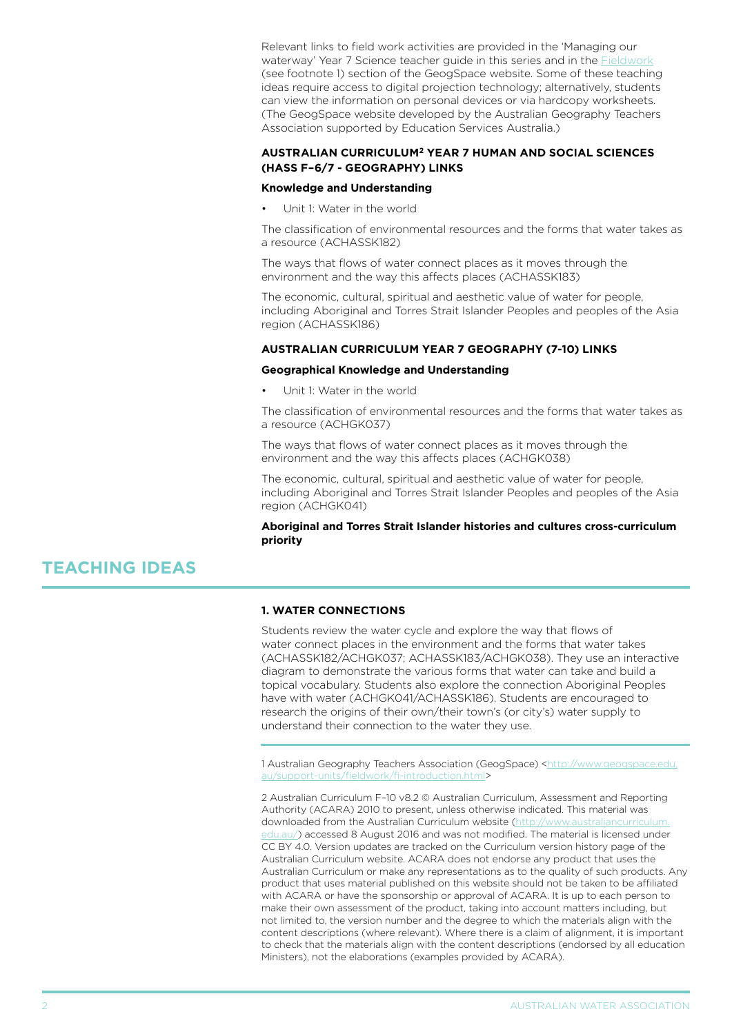Relevant links to field work activities are provided in the 'Managing our waterway' Year 7 Science teacher guide in this series and in the **Fieldwork** (see footnote 1) section of the GeogSpace website. Some of these teaching ideas require access to digital projection technology; alternatively, students can view the information on personal devices or via hardcopy worksheets. (The GeogSpace website developed by the Australian Geography Teachers Association supported by Education Services Australia.)

## **AUStralian curriculum2 Year 7 Human and Social Sciences (HASS F–6/7 - Geography) links**

## **Knowledge and Understanding**

Unit 1: Water in the world

The classification of environmental resources and the forms that water takes as a resource (ACHASSK182)

The ways that flows of water connect places as it moves through the environment and the way this affects places (ACHASSK183)

The economic, cultural, spiritual and aesthetic value of water for people, including Aboriginal and Torres Strait Islander Peoples and peoples of the Asia region (ACHASSK186)

## **AUStralian curriculum Year 7 Geography (7-10) links**

## **Geographical Knowledge and Understanding**

Unit 1: Water in the world

The classification of environmental resources and the forms that water takes as a resource (ACHGK037)

The ways that flows of water connect places as it moves through the environment and the way this affects places (ACHGK038)

The economic, cultural, spiritual and aesthetic value of water for people, including Aboriginal and Torres Strait Islander Peoples and peoples of the Asia region (ACHGK041)

**Aboriginal and Torres Strait Islander histories and cultures cross-curriculum priority** 

## **TEACHING IDEAS**

## **1. water connections**

Students review the water cycle and explore the way that flows of water connect places in the environment and the forms that water takes (ACHASSK182/ACHGK037; ACHASSK183/ACHGK038). They use an interactive diagram to demonstrate the various forms that water can take and build a topical vocabulary. Students also explore the connection Aboriginal Peoples have with water (ACHGK041/ACHASSK186). Students are encouraged to research the origins of their own/their town's (or city's) water supply to understand their connection to the water they use.

1 Australian Geography Teachers Association (GeogSpace) [<http://www.geogspace.edu.](http://www.geogspace.edu.au/support-units/fieldwork/fi-introduction.html) [au/support-units/fieldwork/fi-introduction.html>](http://www.geogspace.edu.au/support-units/fieldwork/fi-introduction.html)

2 Australian Curriculum F–10 v8.2 © Australian Curriculum, Assessment and Reporting Authority (ACARA) 2010 to present, unless otherwise indicated. This material was downloaded from the Australian Curriculum website ([http://www.australiancurriculum.](http://www.australiancurriculum.edu.au/) [edu.au/](http://www.australiancurriculum.edu.au/)) accessed 8 August 2016 and was not modified. The material is licensed under CC BY 4.0. Version updates are tracked on the Curriculum version history page of the Australian Curriculum website. ACARA does not endorse any product that uses the Australian Curriculum or make any representations as to the quality of such products. Any product that uses material published on this website should not be taken to be affiliated with ACARA or have the sponsorship or approval of ACARA. It is up to each person to make their own assessment of the product, taking into account matters including, but not limited to, the version number and the degree to which the materials align with the content descriptions (where relevant). Where there is a claim of alignment, it is important to check that the materials align with the content descriptions (endorsed by all education Ministers), not the elaborations (examples provided by ACARA).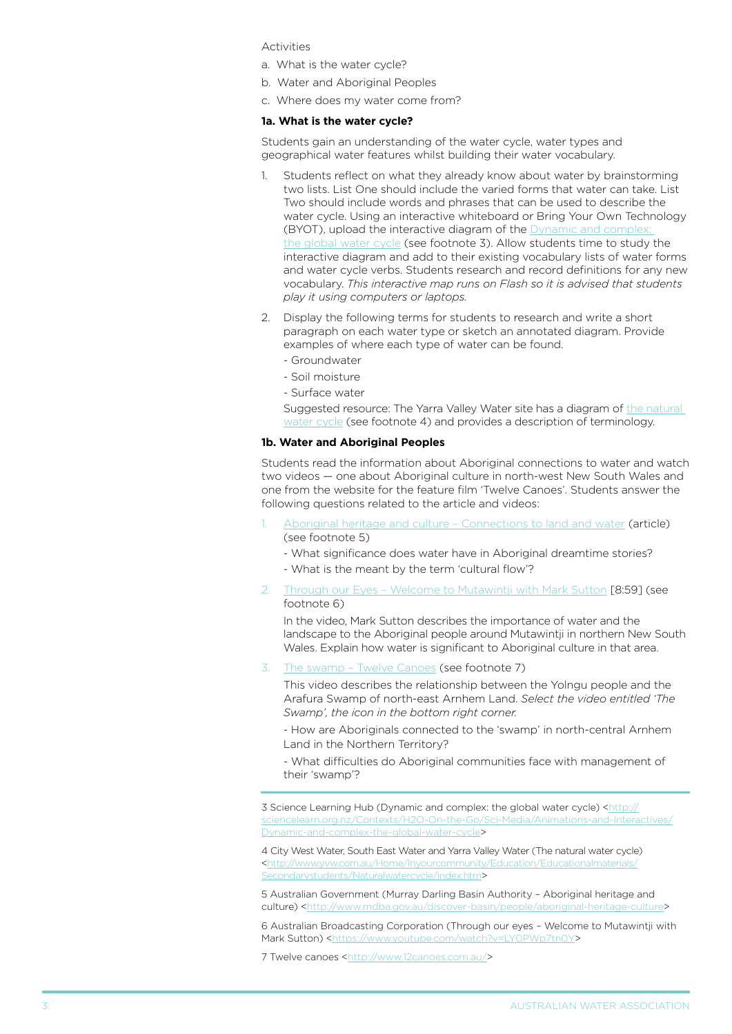Activities

- a. What is the water cycle?
- b. Water and Aboriginal Peoples
- c. Where does my water come from?

## **1a. What is the water cycle?**

Students gain an understanding of the water cycle, water types and geographical water features whilst building their water vocabulary.

- Students reflect on what they already know about water by brainstorming two lists. List One should include the varied forms that water can take. List Two should include words and phrases that can be used to describe the water cycle. Using an interactive whiteboard or Bring Your Own Technology (BYOT), upload the interactive diagram of the [Dynamic and complex:](http://sciencelearn.org.nz/Contexts/H2O-On-the-Go/Sci-Media/Animations-and-Interactives/Dynamic-and-complex-the-global-water-cycle)  [the global water cycle](http://sciencelearn.org.nz/Contexts/H2O-On-the-Go/Sci-Media/Animations-and-Interactives/Dynamic-and-complex-the-global-water-cycle) (see footnote 3). Allow students time to study the interactive diagram and add to their existing vocabulary lists of water forms and water cycle verbs. Students research and record definitions for any new vocabulary. *This interactive map runs on Flash so it is advised that students play it using computers or laptops.*
- 2. Display the following terms for students to research and write a short paragraph on each water type or sketch an annotated diagram. Provide examples of where each type of water can be found.
	- Groundwater
	- Soil moisture
	- Surface water

Suggested resource: The Yarra Valley Water site has a diagram of the natural [water cycle](http://www.yvw.com.au/Home/Inyourcommunity/Education/Educationalmaterials/Secondarystudents/Naturalwatercycle/index.htm) (see footnote 4) and provides a description of terminology.

## **1b. Water and Aboriginal Peoples**

Students read the information about Aboriginal connections to water and watch two videos — one about Aboriginal culture in north-west New South Wales and one from the website for the feature film 'Twelve Canoes'. Students answer the following questions related to the article and videos:

- [Aboriginal heritage and culture Connections to land and water](http://www.mdba.gov.au/discover-basin/people/aboriginal-heritage-culture) (article) (see footnote 5)
	- What significance does water have in Aboriginal dreamtime stories?
	- What is the meant by the term 'cultural flow'?
- 2. [Through our Eyes Welcome to Mutawintji with Mark Sutton](https://www.youtube.com/watch?v=LY0PWp7tn0Y) [8:59] (see footnote 6)

In the video, Mark Sutton describes the importance of water and the landscape to the Aboriginal people around Mutawintji in northern New South Wales. Explain how water is significant to Aboriginal culture in that area.

3. [The swamp – Twelve Canoes](http://www.12canoes.com.au/) (see footnote 7)

This video describes the relationship between the Yolngu people and the Arafura Swamp of north-east Arnhem Land. *Select the video entitled 'The Swamp', the icon in the bottom right corner.*

- How are Aboriginals connected to the 'swamp' in north-central Arnhem Land in the Northern Territory?

- What difficulties do Aboriginal communities face with management of their 'swamp'?

3 Science Learning Hub (Dynamic and complex: the global water cycle) [<http://](http://sciencelearn.org.nz/Contexts/H2O-On-the-Go/Sci-Media/Animations-and-Interactives/Dynamic-and-complex-the-global-water-cycle) [sciencelearn.org.nz/Contexts/H2O-On-the-Go/Sci-Media/Animations-and-Interactives/](http://sciencelearn.org.nz/Contexts/H2O-On-the-Go/Sci-Media/Animations-and-Interactives/Dynamic-and-complex-the-global-water-cycle) [Dynamic-and-complex-the-global-water-cycle>](http://sciencelearn.org.nz/Contexts/H2O-On-the-Go/Sci-Media/Animations-and-Interactives/Dynamic-and-complex-the-global-water-cycle)

4 City West Water, South East Water and Yarra Valley Water (The natural water cycle) [<http://www.yvw.com.au/Home/Inyourcommunity/Education/Educationalmaterials/](http://www.yvw.com.au/Home/Inyourcommunity/Education/Educationalmaterials/Secondarystudents/Naturalwatercycle/index.htm) [Secondarystudents/Naturalwatercycle/index.htm>](http://www.yvw.com.au/Home/Inyourcommunity/Education/Educationalmaterials/Secondarystudents/Naturalwatercycle/index.htm)

5 Australian Government (Murray Darling Basin Authority – Aboriginal heritage and culture) <[http://www.mdba.gov.au/discover-basin/people/aboriginal-heritage-culture>](http://www.mdba.gov.au/discover-basin/people/aboriginal-heritage-culture)

6 Australian Broadcasting Corporation (Through our eyes – Welcome to Mutawintji with Mark Sutton) [<https://www.youtube.com/watch?v=LY0PWp7tn0Y>](https://www.youtube.com/watch?v=LY0PWp7tn0Y)

7 Twelve canoes <<http://www.12canoes.com.au/>>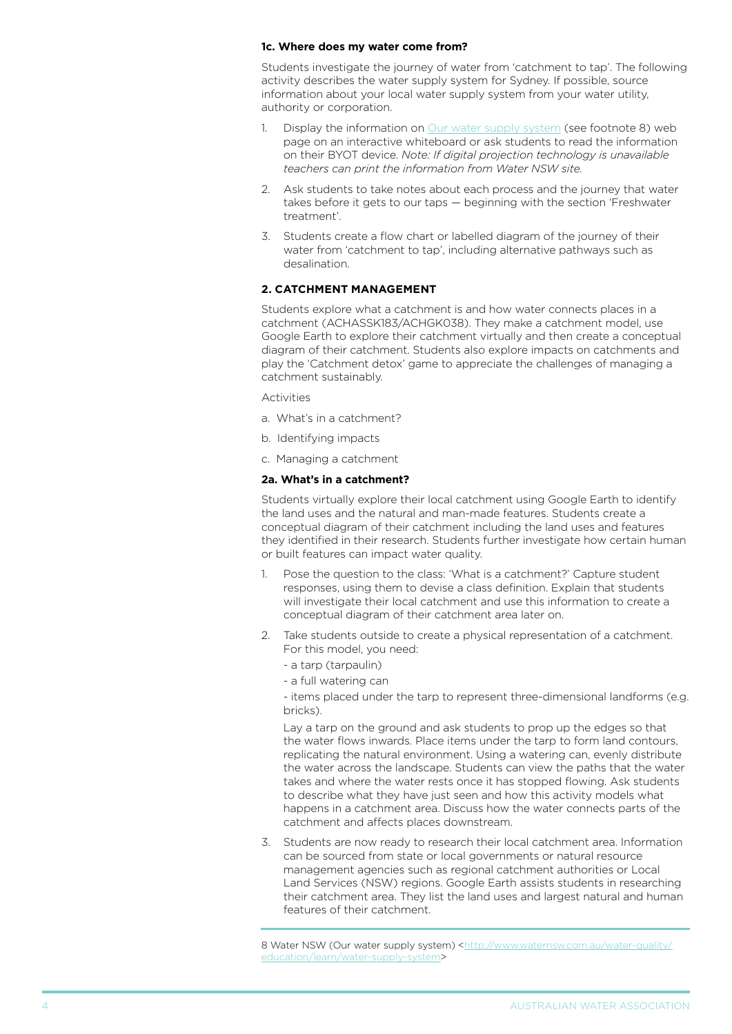#### **1c. Where does my water come from?**

Students investigate the journey of water from 'catchment to tap'. The following activity describes the water supply system for Sydney. If possible, source information about your local water supply system from your water utility, authority or corporation.

- 1. Display the information on [Our water supply system](http://www.waternsw.com.au/water-quality/education/learn/water-supply-system) (see footnote 8) web page on an interactive whiteboard or ask students to read the information on their BYOT device. *Note: If digital projection technology is unavailable teachers can print the information from Water NSW site.*
- 2. Ask students to take notes about each process and the journey that water takes before it gets to our taps — beginning with the section 'Freshwater treatment'.
- 3. Students create a flow chart or labelled diagram of the journey of their water from 'catchment to tap', including alternative pathways such as desalination.

## **2. catchment management**

Students explore what a catchment is and how water connects places in a catchment (ACHASSK183/ACHGK038). They make a catchment model, use Google Earth to explore their catchment virtually and then create a conceptual diagram of their catchment. Students also explore impacts on catchments and play the 'Catchment detox' game to appreciate the challenges of managing a catchment sustainably.

Activities

- a. What's in a catchment?
- b. Identifying impacts
- c. Managing a catchment

## **2a. What's in a catchment?**

Students virtually explore their local catchment using Google Earth to identify the land uses and the natural and man-made features. Students create a conceptual diagram of their catchment including the land uses and features they identified in their research. Students further investigate how certain human or built features can impact water quality.

- 1. Pose the question to the class: 'What is a catchment?' Capture student responses, using them to devise a class definition. Explain that students will investigate their local catchment and use this information to create a conceptual diagram of their catchment area later on.
- 2. Take students outside to create a physical representation of a catchment. For this model, you need:
	- a tarp (tarpaulin)
	- a full watering can

- items placed under the tarp to represent three-dimensional landforms (e.g. bricks).

Lay a tarp on the ground and ask students to prop up the edges so that the water flows inwards. Place items under the tarp to form land contours, replicating the natural environment. Using a watering can, evenly distribute the water across the landscape. Students can view the paths that the water takes and where the water rests once it has stopped flowing. Ask students to describe what they have just seen and how this activity models what happens in a catchment area. Discuss how the water connects parts of the catchment and affects places downstream.

3. Students are now ready to research their local catchment area. Information can be sourced from state or local governments or natural resource management agencies such as regional catchment authorities or Local Land Services (NSW) regions. Google Earth assists students in researching their catchment area. They list the land uses and largest natural and human features of their catchment.

8 Water NSW (Our water supply system) <[http://www.waternsw.com.au/water-quality/](http://www.waternsw.com.au/water-quality/education/learn/water-supply-system) [education/learn/water-supply-system](http://www.waternsw.com.au/water-quality/education/learn/water-supply-system)>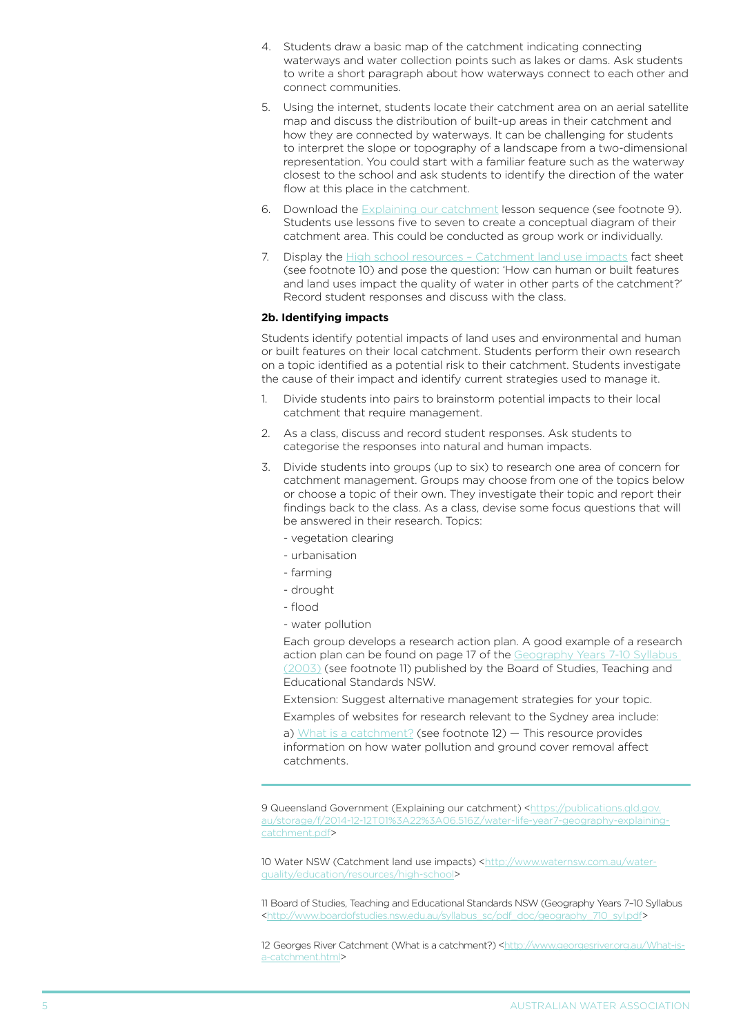- 4. Students draw a basic map of the catchment indicating connecting waterways and water collection points such as lakes or dams. Ask students to write a short paragraph about how waterways connect to each other and connect communities.
- 5. Using the internet, students locate their catchment area on an aerial satellite map and discuss the distribution of built-up areas in their catchment and how they are connected by waterways. It can be challenging for students to interpret the slope or topography of a landscape from a two-dimensional representation. You could start with a familiar feature such as the waterway closest to the school and ask students to identify the direction of the water flow at this place in the catchment.
- 6. Download the **Explaining our catchment** lesson sequence (see footnote 9). Students use lessons five to seven to create a conceptual diagram of their catchment area. This could be conducted as group work or individually.
- 7. Display the **High school resources Catchment land use impacts fact sheet** (see footnote 10) and pose the question: 'How can human or built features and land uses impact the quality of water in other parts of the catchment?' Record student responses and discuss with the class.

## **2b. Identifying impacts**

Students identify potential impacts of land uses and environmental and human or built features on their local catchment. Students perform their own research on a topic identified as a potential risk to their catchment. Students investigate the cause of their impact and identify current strategies used to manage it.

- 1. Divide students into pairs to brainstorm potential impacts to their local catchment that require management.
- 2. As a class, discuss and record student responses. Ask students to categorise the responses into natural and human impacts.
- 3. Divide students into groups (up to six) to research one area of concern for catchment management. Groups may choose from one of the topics below or choose a topic of their own. They investigate their topic and report their findings back to the class. As a class, devise some focus questions that will be answered in their research. Topics:
	- vegetation clearing
	- urbanisation
	- farming
	- drought
	- flood
	- water pollution

Each group develops a research action plan. A good example of a research action plan can be found on page 17 of the Geography Years 7-10 Syllabus [\(2003\)](http://www.boardofstudies.nsw.edu.au/syllabus_sc/pdf_doc/geography_710_syl.pdf) (see footnote 11) published by the Board of Studies, Teaching and Educational Standards NSW.

Extension: Suggest alternative management strategies for your topic.

Examples of websites for research relevant to the Sydney area include:

a) [What is a catchment?](http://www.georgesriver.org.au/What-is-a-catchment.html) (see footnote 12) — This resource provides information on how water pollution and ground cover removal affect catchments.

9 Queensland Government (Explaining our catchment) [<https://publications.qld.gov.](https://publications.qld.gov.au/storage/f/2014-12-12T01%3A22%3A06.516Z/water-life-year7-geography-explaining-catchment.pdf) [au/storage/f/2014-12-12T01%3A22%3A06.516Z/water-life-year7-geography-explaining](https://publications.qld.gov.au/storage/f/2014-12-12T01%3A22%3A06.516Z/water-life-year7-geography-explaining-catchment.pdf)[catchment.pdf>](https://publications.qld.gov.au/storage/f/2014-12-12T01%3A22%3A06.516Z/water-life-year7-geography-explaining-catchment.pdf)

10 Water NSW (Catchment land use impacts) [<http://www.waternsw.com.au/water](http://www.waternsw.com.au/water-quality/education/resources/high-school)[quality/education/resources/high-school>](http://www.waternsw.com.au/water-quality/education/resources/high-school)

11 Board of Studies, Teaching and Educational Standards NSW (Geography Years 7–10 Syllabus [<http://www.boardofstudies.nsw.edu.au/syllabus\\_sc/pdf\\_doc/geography\\_710\\_syl.pdf](http://www.boardofstudies.nsw.edu.au/syllabus_sc/pdf_doc/geography_710_syl.pdf)>

12 Georges River Catchment (What is a catchment?) [<http://www.georgesriver.org.au/What-is](http://www.georgesriver.org.au/What-is-a-catchment.html)[a-catchment.html>](http://www.georgesriver.org.au/What-is-a-catchment.html)